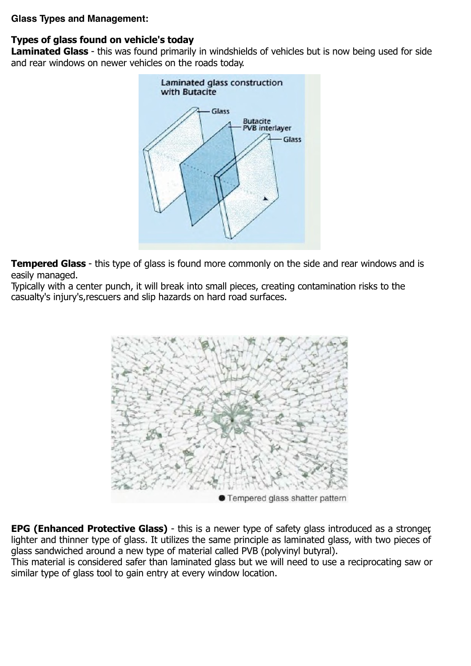#### **Glass Types and Management:**

# **Types of glass found on vehicle's today**

**Laminated Glass** - this was found primarily in windshields of vehicles but is now being used for side and rear windows on newer vehicles on the roads today.



**Tempered Glass** - this type of glass is found more commonly on the side and rear windows and is easily managed.

Typically with a center punch, it will break into small pieces, creating contamination risks to the casualty's injury's,rescuers and slip hazards on hard road surfaces.



**EPG (Enhanced Protective Glass)** - this is a newer type of safety glass introduced as a stronger, lighter and thinner type of glass. It utilizes the same principle as laminated glass, with two pieces of glass sandwiched around a new type of material called PVB (polyvinyl butyral).

This material is considered safer than laminated glass but we will need to use a reciprocating saw or similar type of glass tool to gain entry at every window location.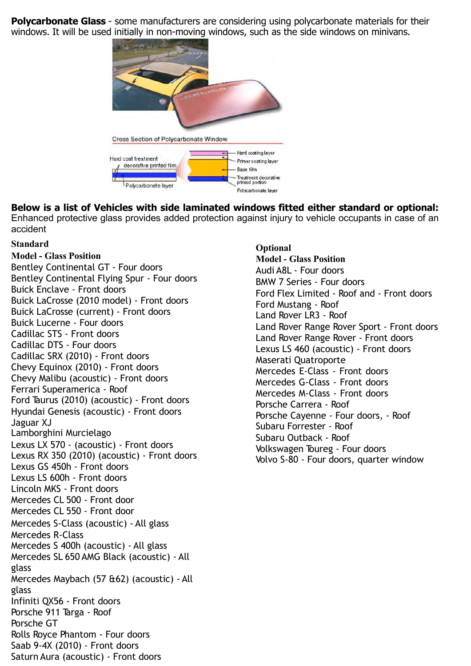**Polycarbonate Glass** - some manufacturers are considering using polycarbonate materials for their windows. It will be used initially in non-moving windows, such as the side windows on minivans.



**Below is a list of Vehicles with side laminated windows fitted either standard or optional:** Enhanced protective glass provides added protection against injury to vehicle occupants in case of an accident

#### **Standard**

**Model - Glass Position** Bentley Continental GT - Four doors Bentley Continental Flying Spur - Four doors Buick Enclave - Front doors Buick LaCrosse (2010 model) - Front doors Buick LaCrosse (current) - Front doors Buick Lucerne - Four doors Cadillac STS - Front doors Cadillac DTS - Four doors Cadillac SRX (2010) - Front doors Chevy Equinox (2010) - Front doors Chevy Malibu (acoustic) - Front doors Ferrari Superamerica - Roof Ford Taurus (2010) (acoustic) - Front doors Hyundai Genesis (acoustic) - Front doors Jaguar XJ Lamborghini Murcielago Lexus LX 570 - (acoustic) - Front doors Lexus RX 350 (2010) (acoustic) - Front doors Lexus GS 450h - Front doors Lexus LS 600h - Front doors Lincoln MKS - Front doors Mercedes CL 500 - Front door Mercedes CL 550 - Front door Mercedes S-Class (acoustic) - All glass Mercedes R-Class Mercedes S 400h (acoustic) - All glass Mercedes SL 650 AMG Black (acoustic) - All glass Mercedes Maybach (57 &62) (acoustic) - All glass Infiniti QX56 - Front doors Porsche 911 Targa - Roof Porsche GT Rolls Royce Phantom - Four doors Saab 9-4X (2010) - Front doors Saturn Aura (acoustic) - Front doors

**Optional Model - Glass Position** Audi A8L - Four doors BMW 7 Series - Four doors Ford Flex Limited - Roof and - Front doors Ford Mustang - Roof Land Rover LR3 - Roof Land Rover Range Rover Sport - Front doors Land Rover Range Rover - Front doors Lexus LS 460 (acoustic) - Front doors Maserati Quatroporte Mercedes E-Class - Front doors Mercedes G-Class - Front doors Mercedes M-Class - Front doors Porsche Carrera - Roof Porsche Cayenne - Four doors, - Roof Subaru Forrester - Roof Subaru Outback - Roof Volkswagen Toureg - Four doors Volvo S-80 - Four doors, quarter window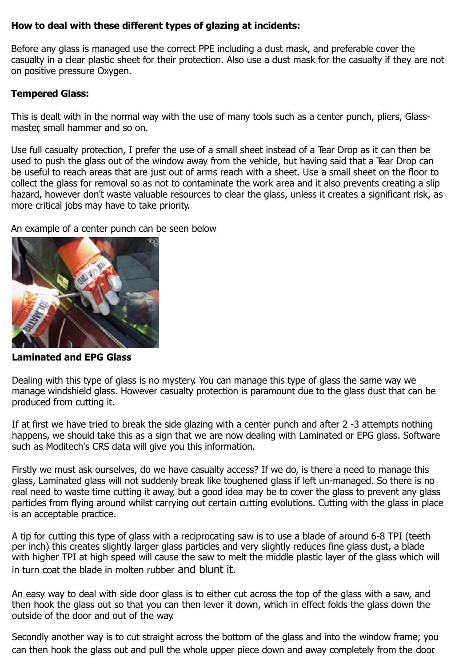## **How to deal with these different types of glazing at incidents:**

Before any glass is managed use the correct PPE including a dust mask, and preferable cover the casualty in a clear plastic sheet for their protection. Also use a dust mask for the casualty if they are not on positive pressure Oxygen.

### **Tempered Glass:**

This is dealt with in the normal way with the use of many tools such as a center punch, pliers, Glassmaster, small hammer and so on.

Use full casualty protection, I prefer the use of a small sheet instead of a Tear Drop as it can then be used to push the glass out of the window away from the vehicle, but having said that a Tear Drop can be useful to reach areas that are just out of arms reach with a sheet. Use a small sheet on the floor to collect the glass for removal so as not to contaminate the work area and it also prevents creating a slip hazard, however don't waste valuable resources to clear the glass, unless it creates a significant risk, as more critical jobs may have to take priority.

An example of a center punch can be seen below



**Laminated and EPG Glass**

Dealing with this type of glass is no mystery. You can manage this type of glass the same way we manage windshield glass. However casualty protection is paramount due to the glass dust that can be produced from cutting it.

If at first we have tried to break the side glazing with a center punch and after 2 -3 attempts nothing happens, we should take this as a sign that we are now dealing with Laminated or EPG glass. Software such as Moditech's CRS data will give you this information.

Firstly we must ask ourselves, do we have casualty access? If we do, is there a need to manage this glass, Laminated glass will not suddenly break like toughened glass if left un-managed. So there is no real need to waste time cutting it away, but a good idea may be to cover the glass to prevent any glass particles from flying around whilst carrying out certain cutting evolutions. Cutting with the glass in place is an acceptable practice.

A tip for cutting this type of glass with a reciprocating saw is to use a blade of around 6-8 TPI (teeth per inch) this creates slightly larger glass particles and very slightly reduces fine glass dust, a blade with higher TPI at high speed will cause the saw to melt the middle plastic layer of the glass which will in turn coat the blade in molten rubber and blunt it.

An easy way to deal with side door glass is to either cut across the top of the glass with a saw, and then hook the glass out so that you can then lever it down, which in effect folds the glass down the outside of the door and out of the way.

Secondly another way is to cut straight across the bottom of the glass and into the window frame; you can then hook the glass out and pull the whole upper piece down and away completely from the door.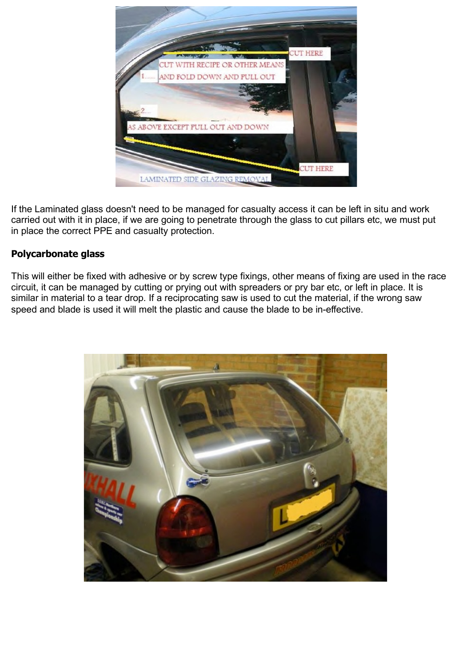

If the Laminated glass doesn't need to be managed for casualty access it can be left in situ and work carried out with it in place, if we are going to penetrate through the glass to cut pillars etc, we must put in place the correct PPE and casualty protection.

# **Polycarbonate glass**

This will either be fixed with adhesive or by screw type fixings, other means of fixing are used in the race circuit, it can be managed by cutting or prying out with spreaders or pry bar etc, or left in place. It is similar in material to a tear drop. If a reciprocating saw is used to cut the material, if the wrong saw speed and blade is used it will melt the plastic and cause the blade to be in-effective.

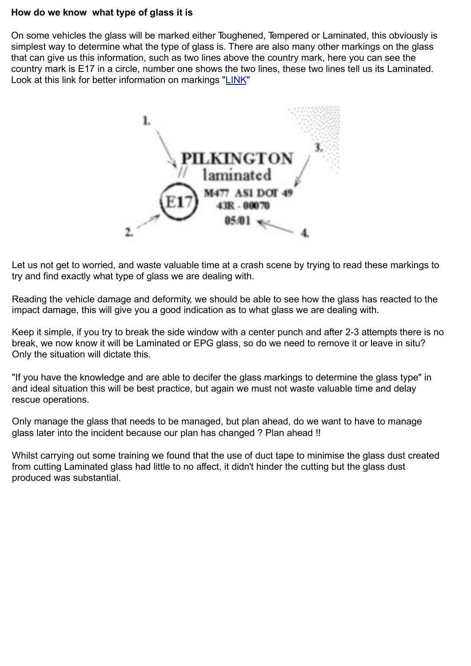#### **How do we know what type of glass it is**

On some vehicles the glass will be marked either Toughened, Tempered or Laminated, this obviously is simplest way to determine what the type of glass is. There are also many other markings on the glass that can give us this information, such as two lines above the country mark, here you can see the country mark is E17 in a circle, number one shows the two lines, these two lines tell us its Laminated. Look at this link for better information on markings "LINK"



Let us not get to worried, and waste valuable time at a crash scene by trying to read these markings to try and find exactly what type of glass we are dealing with.

Reading the vehicle damage and deformity, we should be able to see how the glass has reacted to the impact damage, this will give you a good indication as to what glass we are dealing with.

Keep it simple, if you try to break the side window with a center punch and after 2-3 attempts there is no break, we now know it will be Laminated or EPG glass, so do we need to remove it or leave in situ? Only the situation will dictate this.

"If you have the knowledge and are able to decifer the glass markings to determine the glass type" in and ideal situation this will be best practice, but again we must not waste valuable time and delay rescue operations.

Only manage the glass that needs to be managed, but plan ahead, do we want to have to manage glass later into the incident because our plan has changed ? Plan ahead !!

Whilst carrying out some training we found that the use of duct tape to minimise the glass dust created from cutting Laminated glass had little to no affect, it didn't hinder the cutting but the glass dust produced was substantial.